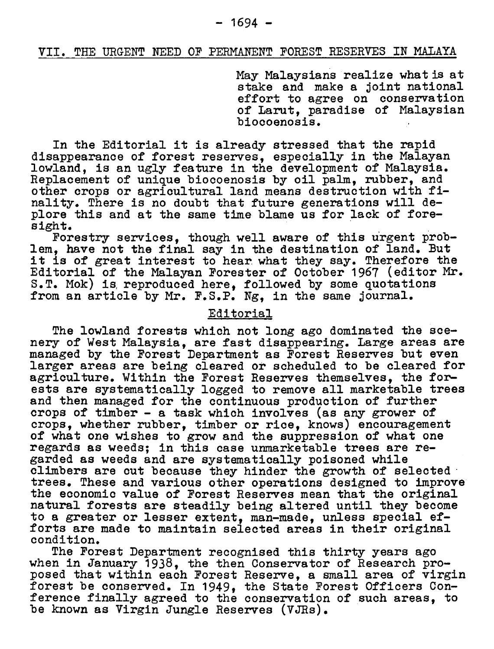## VII. The Urgent Need of Permanent Forest Reserves in Malaya

May Malaysians realize what is at stake and make <sup>a</sup> joint national stake and make a joint national<br>effort to agree on conservation effort to agree on conservation<br>of Larut, paradise of Malaysian biocoenosis.

In the Editorial it is already stressed that the rapid disappearance of forest reserves, especially in the Malayan lowland, is an ugly feature in the development of Malaysia. Replacement of unique biocoenosis by oil palm, rubber, and other crops or agricultural land means destruction with finality. There is no doubt that future generations will deplore this and at the same time blame us for lack of foresight.

Forestry services, though well aware of this urgent problem, have not the final say in the destination of land. But it is of great interest to hear what they say. Therefore the Editorial of the Malayan Forester of October <sup>1967</sup> (editor Mr. S.T. Mok) is reproduced here, followed by some quotations from an article by Mr. F.S.P. Ng, in the same journal.

## Editorial

The lowland forests which not long ago dominated the scenery of West Malaysia, are fast disappearing, large areas are managed by the Forest Department as Forest Reserves but even larger areas are being cleared or scheduled to be cleared for agriculture. Within the Forest Reserves themselves, the forests are systematically logged to remove all marketable trees and then managed for the continuous production of further crops of timber - <sup>a</sup> task which involves (as any grower of crops, whether rubber, timber or rice, knows) encouragement of what one wishes to grow and the suppression of what one regards as weeds; in this case unmarketable trees are regarded as weeds and are systematically poisoned while climbers are cut because they hinder the growth of selected trees. These and various other operations designed to improve the economic value of Forest Reserves mean that the original natural forests are steadily being altered until they become to <sup>a</sup> greater or lesser extent, man-made, unless special efforts are made to maintain selected areas in their original condition.

The Forest Department recognised this thirty years ago when in January 1938, the then Conservator of Research proposed that within each Forest Reserve, <sup>a</sup> small area of virgin forest be conserved. In 1949, the State Forest Officers Conference finally agreed to the conservation of such areas, to be known as Virgin Jungle Reserves (VJRs).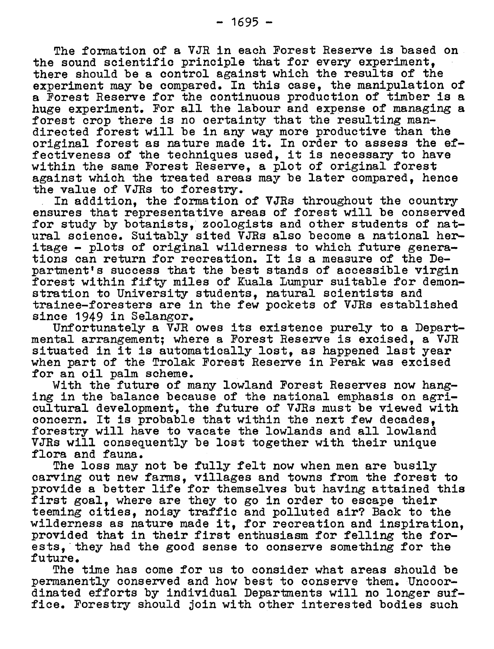there should be <sup>a</sup> control against which the results of the experiment may be compared. In this case, the manipulation of <sup>a</sup> Forest Reserve for the continuous production of timber is <sup>a</sup> huge experiment. For all the labour and expense of managing <sup>a</sup> forest crop there is no certainty that the resulting mandirected forest will be in any way more productive than the directed forest will be in any way more productive than the<br>original forest as nature made it. In order to assess the ef original forest as nature made it. In order to assess the efectiveness of the techniques used, it is necessary to have fectiveness of the techniques used, it is necessary to have<br>within the same Forest Reserve, a plot of original forest against which the treated areas may be later compared. hence the value of VJRs to forestry.

In addition, the formation of YJRs throughout the country ensures that representative areas of forest will be conserved for study by botanists, zoologists and other students of natural science. Suitably sited VJRs also become a national herural science. Suitably sited vans also become a national ne<br>itage – plots of original wilderness to which future genera tions can return for recreation. It is <sup>a</sup> measure of the Department's success that the best stands of accessible virgin forest within fifty miles of Kuala Lumpur suitable for demonstration to University students, natural scientists and trainee-foresters are in the few pockets of VJRs established since 1949 in Selangor.

Unfortunately <sup>a</sup> VJR owes its existence purely to <sup>a</sup> Departmental arrangement; where <sup>a</sup> Forest Reserve is excised, <sup>a</sup> VJR situated in it is automatically lost, as happened last year situated in it is automatically lost, as happened last year<br>when part of the Trolak Forest Reserve in Perak was excised for an oil palm scheme.

With the future of many lowland Forest Reserves now hanging in the balance because of the national emphasis on agricultural development, the future of VJRs must be viewed with concern. It is probable that within the next few decades, forestry will have to vacate the lowlands and all lowland VJRs will consequently be lost together with their unique flora and fauna.

The loss may not be fully felt now when men are busily carving out new farms, villages and towns from the forest to provide <sup>a</sup> better life for themselves but having attained this first goal, where are they to go in order to escape their teeming cities, noisy traffic and polluted air? Back to the wilderness as nature made it, for recreation and inspiration, provided that in their first enthusiasm for felling the forests, they had the good sense to conserve something for the future.

The time has come for us to consider what areas should be permanently conserved and how best to conserve them. Uncoordinated efforts by individual Departments will no longer suffice. Forestry should join with other interested bodies such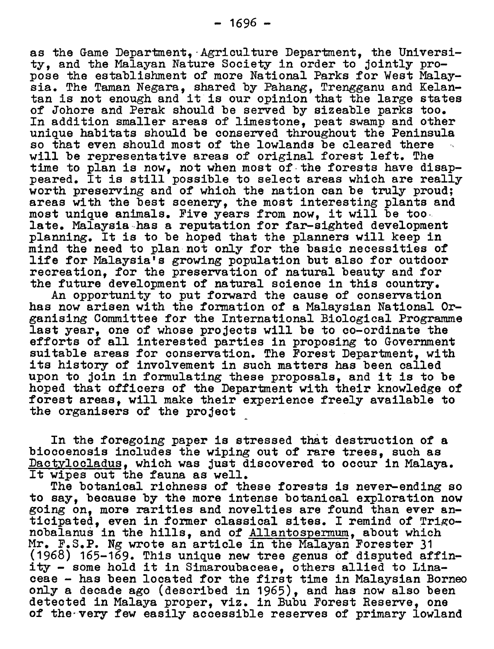as the Game Department, Agriculture Department, the Universias the Game Department, Agriculture Department, the Univer<br>ty, and the Malayan Nature Society in order to jointly pro ty, and the Malayan Nature Society in order to Jointly pro-<br>pose the establishment of more National Parks for West Malay sia. The Taman Negara, shared by Pahang, Trengganu and Kelantan is not enough and it is our opinion that the large states of Johore and Perak should be served by sizeable parks too. In addition smaller areas of limestone, peat swamp and other unique habitats should be conserved throughout the Peninsula so that even should most of the lowlands be cleared there will be representative areas of original forest left. The will be representative areas of original forest felt. The<br>time to plan is now, not when most of the forests have disap-<br>peared. It is still possible to select areas which are really peared. It is still possible to select areas which are really worth preserving and of which the nation can be truly proud; worth preserving and of which the hatfon can be thany produ,<br>areas with the best scenery, the most interesting plants and<br>most unique animals. Five years from now, it will be too late. Malaysia has <sup>a</sup> reputation for far-sighted development planning. It is to be hoped that the planners will keep in mind the need to plan not only for the basic necessities of life for Malaysia's growing population but also for outdoor recreation, for the preservation of natural beauty and for the future development of natural science in this country.

An opportunity to put forward the cause of conservation has now arisen with the formation of <sup>a</sup> Malaysian National Organising Committee for the International Biological Programme last year, one of whose projects will be to co-ordinate the efforts of all interested parties in proposing to Government suitable areas for conservation. The Forest Department, with its history of involvement in such matters has been called upon to join in formulating these proposals, and it is to be hoped that officers of the Department with their knowledge of forest areas, will make their experience freely available to the organisers of the project

In the foregoing paper is stressed that destruction of <sup>a</sup> biocoenosis includes the wiping out of rare trees, such as biocoenosis includes the wiping out of tare trees, such as<br><u>Dactylocladus</u>, which was just discovered to occur in Malaya.<br>It wipes out the fauna as well. It wipes out the fauna as well.<br>The botanical richness of these forests is never-ending so

to say, because by the more intense botanical exploration now going on, more rarities and novelties are found than ever angoing on, more rarities and novelties are found than ever an<br>ticipated, even in former classical sites. I remind of Trigo ticipated, even in former classical sites. I remind of Tri<br>nobalanus in the hills, and of <u>Allantospermum</u>, about which Mr. F.S.P. Ng wrote an article in the Malayan Forester <sup>31</sup> (1968) 165-169. This unique new tree genus of disputed affinity - some hold it in Simaroubaceae, others allied to Linaceae -has been located for the first time in Malaysian Borneo only <sup>a</sup> decade ago (described in 1965), and has now also been detected in Malaya proper, viz. in Bubu Forest Reserve, one of the very few easily accessible reserves of primary lowland